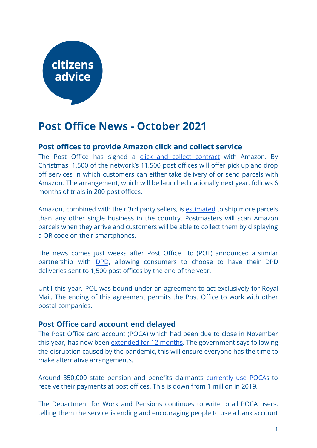# citizens advice

## **Post Office News - October 2021**

### **Post offices to provide Amazon click and collect service**

The Post Office has signed a click and collect [contract](https://www.thetimes.co.uk/article/post-office-to-handle-packages-for-amazon-99d2kv9h0) with Amazon. By Christmas, 1,500 of the network's 11,500 post offices will offer pick up and drop off services in which customers can either take delivery of or send parcels with Amazon. The arrangement, which will be launched nationally next year, follows 6 months of trials in 200 post offices.

Amazon, combined with their 3rd party sellers, is [estimated](https://tamebay.com/2021/09/amazon-post-office-click-collect-service.html) to ship more parcels than any other single business in the country. Postmasters will scan Amazon parcels when they arrive and customers will be able to collect them by displaying a QR code on their smartphones.

The news comes just weeks after Post Office Ltd (POL) announced a similar partnership with [DPD](https://corporate.postoffice.co.uk/our-media-centre#/pressreleases/post-office-partners-with-dpd-to-roll-out-click-and-collect-services-across-the-uk-3121180), allowing consumers to choose to have their DPD deliveries sent to 1,500 post offices by the end of the year.

Until this year, POL was bound under an agreement to act exclusively for Royal Mail. The ending of this agreement permits the Post Office to work with other postal companies.

#### **Post Office card account end delayed**

The Post Office card account (POCA) which had been due to close in November this year, has now been [extended](https://www.gov.uk/government/news/post-office-card-accounts-closure-extended-until-november-2022) for 12 months. The government says following the disruption caused by the pandemic, this will ensure everyone has the time to make alternative arrangements.

Around 350,000 state pension and benefits claimants [currently](https://questions-statements.parliament.uk/written-questions/detail/2021-09-14/49035) use POCAs to receive their payments at post offices. This is down from 1 million in 2019.

The Department for Work and Pensions continues to write to all POCA users, telling them the service is ending and encouraging people to use a bank account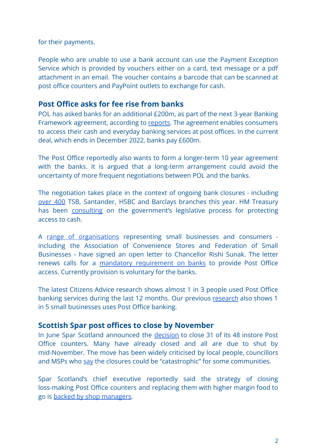for their payments.

People who are unable to use a bank account can use the Payment Exception Service which is provided by vouchers either on a card, text message or a pdf attachment in an email. The voucher contains a barcode that can be scanned at post office counters and PayPoint outlets to exchange for cash.

#### **Post Office asks for fee rise from banks**

POL has asked banks for an additional £200m, as part of the next 3-year Banking Framework agreement, according to [reports.](https://www.thetimes.co.uk/article/post-office-asks-banks-for-200m-more-in-new-deal-for-their-customers-to-access-cash-fkqrrbx2v) The agreement enables consumers to access their cash and everyday banking services at post offices. In the current deal, which ends in December 2022, banks pay £600m.

The Post Office reportedly also wants to form a longer-term 10 year agreement with the banks. It is argued that a long-term arrangement could avoid the uncertainty of more frequent negotiations between POL and the banks.

The negotiation takes place in the context of ongoing bank closures - including [over](https://www.which.co.uk/money/banking/switching-your-bank/bank-branch-closures-is-your-local-bank-closing-a28n44c8z0h5) 400 TSB, Santander, HSBC and Barclays branches this year. HM Treasury has been [consulting](https://www.gov.uk/government/consultations/access-to-cash-consultation) on the government's legislative process for protecting access to cash.

A range of [organisations](https://nfsp.org.uk/news/view?name=nfsp-signs-open-letter-to-rishi-sunak) representing small businesses and consumers including the Association of Convenience Stores and Federation of Small Businesses - have signed an open letter to Chancellor Rishi Sunak. The letter renews calls for a mandatory [requirement](https://www.acs.org.uk/press-releases/trade-and-industry-bodies-call-government-protect-access-cash) on banks to provide Post Office access. Currently provision is voluntary for the banks.

The latest Citizens Advice research shows almost 1 in 3 people used Post Office banking services during the last 12 months. Our previous [research](https://www.citizensadvice.org.uk/about-us/our-work/policy/policy-research-topics/post-policy-research-and-consultation-responses/post-policy-research/banking-on-it-how-well-are-post-offices-delivering-cash-and-banking-services/) also shows 1 in 5 small businesses uses Post Office banking.

#### **Scottish Spar post offices to close by November**

In June Spar Scotland announced the [decision](https://www.bbc.co.uk/news/uk-scotland-south-scotland-57412410) to close 31 of its 48 instore Post Office counters. Many have already closed and all are due to shut by mid-November. The move has been widely criticised by local people, councillors and MSPs who [say](https://www.pressandjournal.co.uk/fp/news/aberdeen/3494594/shop-boss-slammed-after-claiming-post-office-closures-best-decision-for-many-years/) the closures could be "catastrophic" for some communities.

Spar Scotland's chief executive reportedly said the strategy of closing loss-making Post Office counters and replacing them with higher margin food to go is [backed by shop managers.](https://www.thecourier.co.uk/fp/business-environment/business/2599640/spar-shop-managers-welcome-post-office-closure-decisions-says-company-boss/)